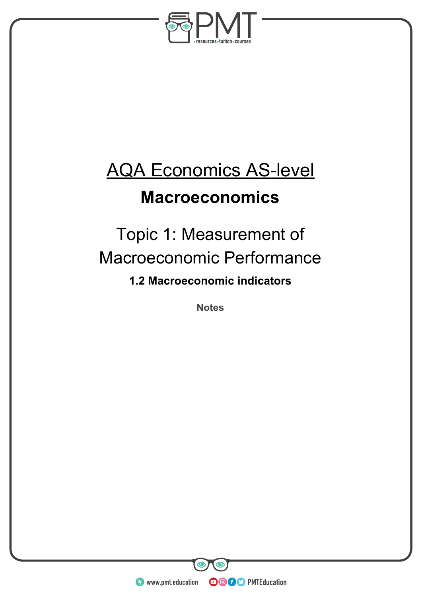

# AQA Economics AS-level

### **Macroeconomics**

## Topic 1: Measurement of Macroeconomic Performance

**1.2 Macroeconomic indicators**

**Notes** 

**WWW.pmt.education** 

**OOOO** PMTEducation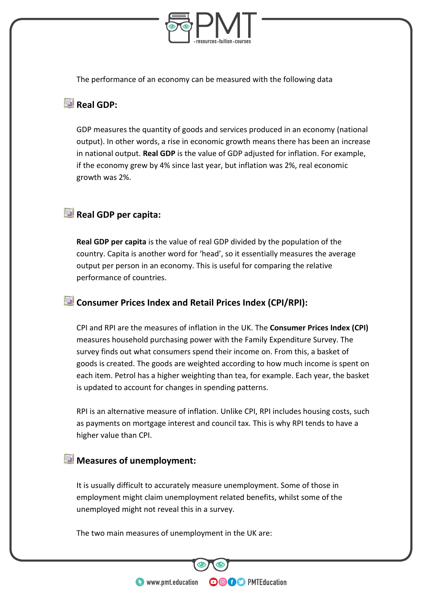

The performance of an economy can be measured with the following data

#### **Real GDP:**

GDP measures the quantity of goods and services produced in an economy (national output). In other words, a rise in economic growth means there has been an increase in national output. **Real GDP** is the value of GDP adjusted for inflation. For example, if the economy grew by 4% since last year, but inflation was 2%, real economic growth was 2%.

### **Real GDP per capita:**

**Real GDP per capita** is the value of real GDP divided by the population of the country. Capita is another word for 'head', so it essentially measures the average output per person in an economy. This is useful for comparing the relative performance of countries.

#### **Consumer Prices Index and Retail Prices Index (CPI/RPI):**

CPI and RPI are the measures of inflation in the UK. The **Consumer Prices Index (CPI)**  measures household purchasing power with the Family Expenditure Survey. The survey finds out what consumers spend their income on. From this, a basket of goods is created. The goods are weighted according to how much income is spent on each item. Petrol has a higher weighting than tea, for example. Each year, the basket is updated to account for changes in spending patterns.

RPI is an alternative measure of inflation. Unlike CPI, RPI includes housing costs, such as payments on mortgage interest and council tax. This is why RPI tends to have a higher value than CPI.

#### **Measures of unemployment:**

It is usually difficult to accurately measure unemployment. Some of those in employment might claim unemployment related benefits, whilst some of the unemployed might not reveal this in a survey.

**OOOO** PMTEducation

The two main measures of unemployment in the UK are: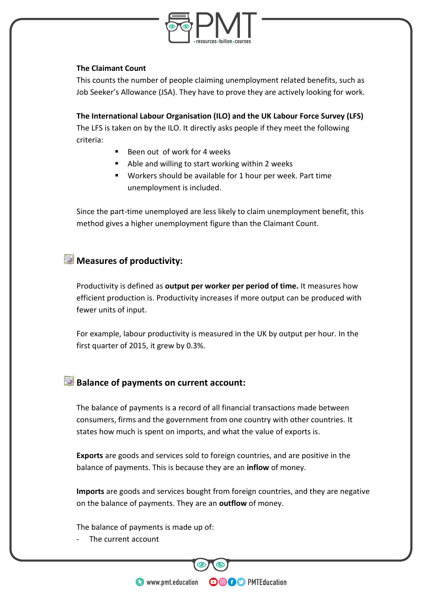

#### **The Claimant Count**

This counts the number of people claiming unemployment related benefits, such as Job Seeker's Allowance (JSA). They have to prove they are actively looking for work.

**The International Labour Organisation (ILO) and the UK Labour Force Survey (LFS)**  The LFS is taken on by the ILO. It directly asks people if they meet the following criteria:

- Been out of work for 4 weeks
- Able and willing to start working within 2 weeks
- Workers should be available for 1 hour per week. Part time unemployment is included.

Since the part-time unemployed are less likely to claim unemployment benefit, this method gives a higher unemployment figure than the Claimant Count.

### **Measures of productivity:**

Productivity is defined as **output per worker per period of time.** It measures how efficient production is. Productivity increases if more output can be produced with fewer units of input.

For example, labour productivity is measured in the UK by output per hour. In the first quarter of 2015, it grew by 0.3%.

#### **Balance of payments on current account:**

The balance of payments is a record of all financial transactions made between consumers, firms and the government from one country with other countries. It states how much is spent on imports, and what the value of exports is.

**Exports** are goods and services sold to foreign countries, and are positive in the balance of payments. This is because they are an **inflow** of money.

**Imports** are goods and services bought from foreign countries, and they are negative on the balance of payments. They are an **outflow** of money.

**OOOO** PMTEducation

The balance of payments is made up of:

The current account